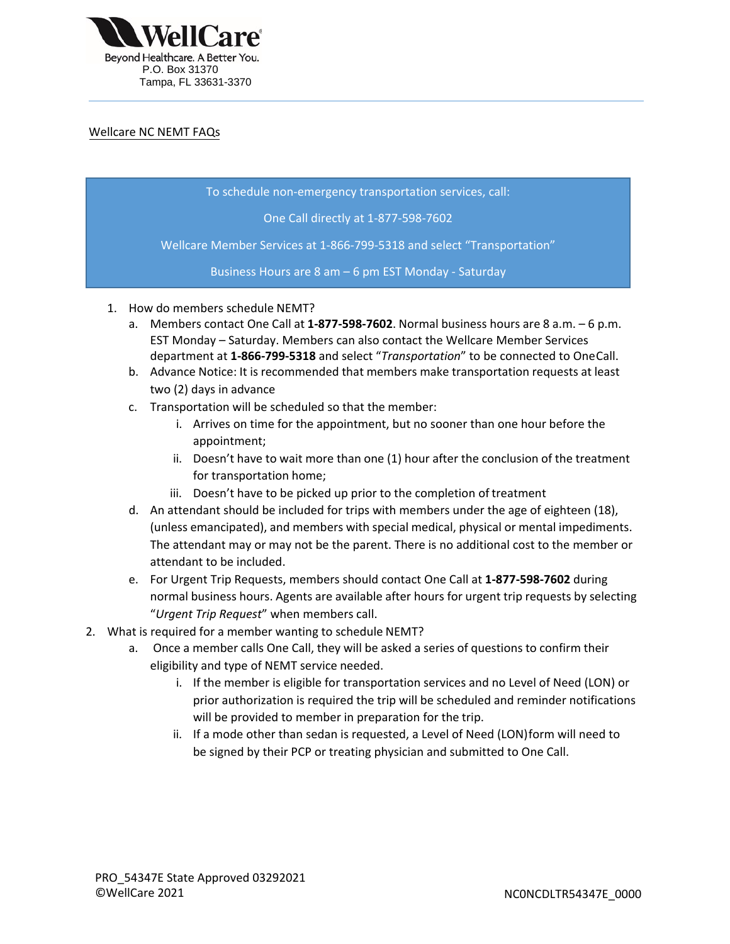

## Wellcare NC NEMT FAQs

- To schedule non emergency transportation services, call:

One Call directly at 1-877-598-7602

Wellcare Member Services at 1-866-799-5318 and select "Transportation"

Business Hours are 8 am - 6 pm EST Monday - Saturday

- 1. How do members schedule NEMT?
	- a. Members contact One Call at 1-877-598-7602. Normal business hours are 8 a.m. 6 p.m. EST Monday – Saturday. Members can also contact the Wellcare Member Services department at **1-866-799-5318** and select "*Transportation*" to be connected to OneCall.
	- b. Advance Notice: It is recommended that members make transportation requests at least two (2) days in advance
	- c. Transportation will be scheduled so that the member:
		- i. Arrives on time for the appointment, but no sooner than one hour before the appointment;
		- ii. Doesn't have to wait more than one (1) hour after the conclusion of the treatment for transportation home;
		- iii. Doesn't have to be picked up prior to the completion of treatment
	- d. An attendant should be included for trips with members under the age of eighteen (18), (unless emancipated), and members with special medical, physical or mental impediments. The attendant may or may not be the parent. There is no additional cost to the member or attendant to be included.
	- e. For Urgent Trip Requests, members should contact One Call at **1-877-598-7602** during normal business hours. Agents are available after hours for urgent trip requests by selecting "*Urgent Trip Request*" when members call.
- 2. What is required for a member wanting to schedule NEMT?
	- a. Once a member calls One Call, they will be asked a series of questions to confirm their eligibility and type of NEMT service needed.
		- i. If the member is eligible for transportation services and no Level of Need (LON) or prior authorization is required the trip will be scheduled and reminder notifications will be provided to member in preparation for the trip.
		- be signed by their PCP or treating physician and submitted to One Call. ii. If a mode other than sedan is requested, a Level of Need (LON)form will need to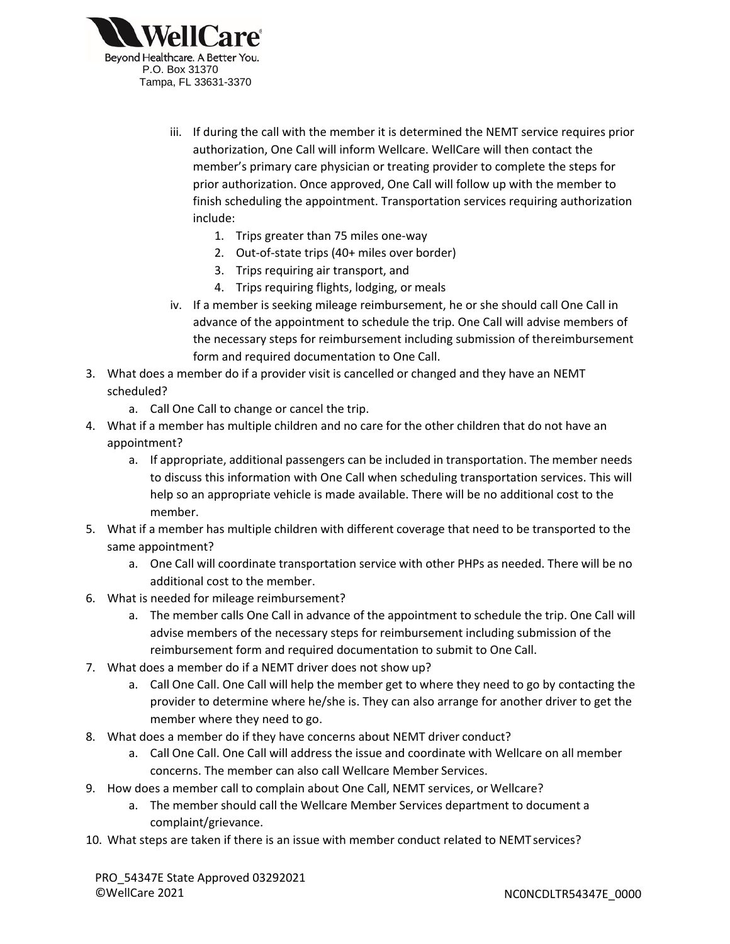

- iii. If during the call with the member it is determined the NEMT service requires prior authorization, One Call will inform Wellcare. WellCare will then contact the member's primary care physician or treating provider to complete the steps for prior authorization. Once approved, One Call will follow up with the member to finish scheduling the appointment. Transportation services requiring authorization include:
	- 1. Trips greater than 75 miles one-way
	- 2. Out-of-state trips (40+ miles over border)
	- 3. Trips requiring air transport, and
	- 4. Trips requiring flights, lodging, or meals
- iv. If a member is seeking mileage reimbursement, he or she should call One Call in advance of the appointment to schedule the trip. One Call will advise members of the necessary steps for reimbursement including submission of thereimbursement form and required documentation to One Call.
- 3. What does a member do if a provider visit is cancelled or changed and they have an NEMT scheduled?
	- a. Call One Call to change or cancel the trip.
- 4. What if a member has multiple children and no care for the other children that do not have an appointment?
	- a. If appropriate, additional passengers can be included in transportation. The member needs to discuss this information with One Call when scheduling transportation services. This will help so an appropriate vehicle is made available. There will be no additional cost to the member.
- 5. What if a member has multiple children with different coverage that need to be transported to the same appointment?
	- a. One Call will coordinate transportation service with other PHPs as needed. There will be no additional cost to the member.
- 6. What is needed for mileage reimbursement?
	- a. The member calls One Call in advance of the appointment to schedule the trip. One Call will reimbursement form and required documentation to submit to One Call. advise members of the necessary steps for reimbursement including submission of the
- 7. What does a member do if a NEMT driver does not show up?
	- a. Call One Call. One Call will help the member get to where they need to go by contacting the provider to determine where he/she is. They can also arrange for another driver to get the member where they need to go.
- 8. What does a member do if they have concerns about NEMT driver conduct?
	- a. Call One Call. One Call will address the issue and coordinate with Wellcare on all member concerns. The member can also call Wellcare Member Services.
- 9. How does a member call to complain about One Call, NEMT services, or Wellcare?
	- a. The member should call the Wellcare Member Services department to document a complaint/grievance.
- 10. What steps are taken if there is an issue with member conduct related to NEMT services?

PRO 54347E State Approved 03292021 ©WellCare 2021 NC0NCDLTR54347E\_0000